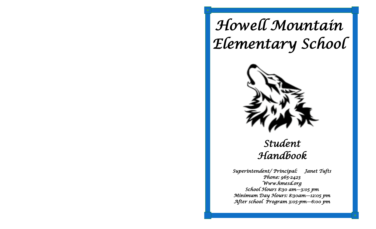# *Howell Mountain Elementary School*



## *Student Handbook*

*Superintendent/ Principal: Janet Tufts Phone: 965-2423 Www.hmesd.org School Hours 8:30 am—3:05 pm Minimum Day Hours: 8:30am—12:05 pm After school Program 3:05-pm—6:00 pm*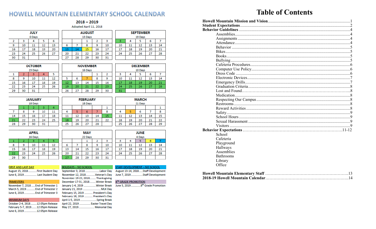### HOWELL MOUNTAIN ELEMENTARY SCHOOL CALENDAR  $2018 - 2019$

|    |        | <b>JULY</b> |    |    |  |  |
|----|--------|-------------|----|----|--|--|
|    | 0 Days |             |    |    |  |  |
| 2  | 3      |             | 5  | 6  |  |  |
| 9  | 10     | 11          | 12 | 13 |  |  |
| 16 | 17     | 18          | 19 | 20 |  |  |
| 23 | 24     | 25          | 26 | 27 |  |  |
| 30 | 31     |             |    |    |  |  |

|  | Adopted April 11, 2018 |    |    |    |    |                  |    |
|--|------------------------|----|----|----|----|------------------|----|
|  | <b>AUGUST</b>          |    |    |    |    | <b>SEPTEMBER</b> |    |
|  | 13 Days                |    |    |    |    | 19 Days          |    |
|  |                        |    |    |    |    |                  | 6  |
|  | 8                      | 9  | 10 | 10 | 11 | 12               | 1  |
|  |                        | 16 | 17 | 17 | 18 | 19               | 21 |

24

31

24

 $25$ 

| 14 |
|----|
| 21 |
| 28 |
|    |
|    |

22

29

23

30

6

13

20

27

6

13

20

27

November 12, 2018...

January 1-4, 2019.

January 21, 2019

February 15, 2019

February 18, 2019

April 1-5, 2019...

April 22, 2019

May 27, 2019.

December 17-31, 2018...

21

28

| <b>JANUARY</b> |    |    |    |    |  |  |
|----------------|----|----|----|----|--|--|
| 18 Days        |    |    |    |    |  |  |
| з<br>2         |    |    |    |    |  |  |
|                |    | ۹  | 10 | 11 |  |  |
| 14             | 15 | 16 | 17 | 18 |  |  |
| 21             | 22 | 23 | 24 | 25 |  |  |
| 28             | 29 | 30 | 31 |    |  |  |

|    |    | <b>FEBRUARY</b><br>18 Days |    |    |  |    |    | <b>MARCH</b><br>21 Days |    |
|----|----|----------------------------|----|----|--|----|----|-------------------------|----|
|    |    |                            |    |    |  |    |    |                         |    |
|    |    | 6                          |    | я  |  |    |    | 6                       |    |
| 11 | 12 | 13                         | 14 | 15 |  | 11 | 12 | 13                      | 14 |
| 18 | 19 | 20                         | 21 | 22 |  | 18 | 19 | 20                      | 21 |
| 25 | 26 | 27                         | 28 |    |  | 25 | 26 | 27                      | 28 |

| APRIL |         |    |    |    |  |  |  |
|-------|---------|----|----|----|--|--|--|
|       | 16 Days |    |    |    |  |  |  |
|       | 2       |    |    | 5  |  |  |  |
| 8     | 9       | 10 | 11 | 12 |  |  |  |
| 15    | 16      | 17 | 18 | 19 |  |  |  |
| 22    | 23      | 24 | 25 | 26 |  |  |  |
| 29    | 30      |    |    |    |  |  |  |

|    | <b>MAY</b> |    |    |    |    | <b>JUNE</b> |
|----|------------|----|----|----|----|-------------|
|    | 22 Days    |    |    |    |    | 4 Days      |
|    |            |    |    |    |    |             |
|    | 8          | 9  | 10 | 10 | 11 | 12          |
| 14 | 15         | 16 | 17 | 17 | 18 | 19          |
| 21 | 22         | 23 | 24 | 24 | 25 | 26          |
| 28 | 29         | 30 | 31 |    |    |             |

..Veteran's Day

..Winter Break

. Winter Break

President's Day

President's Day

**Easter Travel Day** 

.Spring Break

. Memorial Day

.. MLK Day

#### **FIRST AND LAST DAY**

August 15, 2018. ..First Student Day June 6, 2019. . Last Student Day

#### **TRIMESTERS**

November 7, 2018 ..... End of Trimester 1 March 5, 2019. .End of Trimester 2 June 6, 2019. End of Trimester 3

#### **MINIMUM DAYS**

October 2-4, 2018. .12:05pm Release .12:05pm Release February 5-7, 2019. June 6, 2019. .12:05pm Release

| <b>HOLIDAYS - NO SCHOOL</b> |
|-----------------------------|
| September 3, 2018Labor Day  |

November 19-23, 2018........ Thanksgiving

TAFF DEVELOPMENT - NO SCHOOL August 13-14, 2018.....Staff Development June 7, 2019... .Staff Development

26

6

13

20

27

 $\overline{7}$ 

14

21

28

 $\mathbf{1}$ 8

15

22

29

14

21

28

6

13

20

27

#### 8™ GRADE PROMOTION

June 5, 2019. .8<sup>th</sup> Grade Promotion

## **Table of Contents**

| School           |  |
|------------------|--|
| Cafeteria        |  |
| Playground       |  |
| Hallways         |  |
| Assemblies       |  |
| <b>Bathrooms</b> |  |
| Library          |  |
| Office           |  |
|                  |  |
|                  |  |
|                  |  |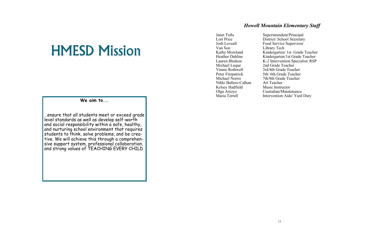# HMESD Mission

**We aim to...**

…ensure that all students meet or exceed grade level standards as well as develop self-worth and social responsibility within a safe, healthy, and nurturing school environment that requires students to think, solve problems, and be creative. We will achieve this through a comprehensive support system, professional collaboration, and strong values of TEACHING EVERY CHILD

#### *Howell Mountain Elementary Staff*

Van Son Library Tech<br>Kathy Moreland Kindergarten/ Michael Luque 2nd Grade Teacher Nikki Ballere-Calhan Art Teacher Kelsey Hadfield Music Instructor

Janet Tufts Superintendent/Principal<br>
Lori Price District/School Secretary Lori Price District/ School Secretary<br>
Josh Loveall Food Service Supervisor Food Service Supervisor Kathy Moreland Kindergarten/ 1st Grade Teacher<br>Heather Dahline Kindergarten/1st Grade Teacher Heather Dahline Kindergarten/1st Grade Teacher<br>
Lauren Bledsoe K-2 Intervention Specialist/RSP K-2 Intervention Specialist/ RSP Vinnie Rothwell 3rd/4th Grade Teacher<br>Peter Fitzpatrick 5th/6th Grade Teacher 5th/ 6th Grade Teacher Michael Norris 7th/8th Grade Teacher Olga Arroyo Custodian/Maintenance Maria Terrell **Intervention Aide/ Yard Duty**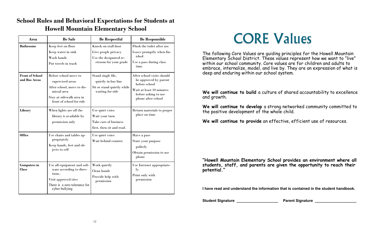| Area                                    | <b>Be Safe</b>                                                                                                                                 | <b>Be Respectful</b>                                                                          | <b>Be Responsible</b>                                                                                                                          |
|-----------------------------------------|------------------------------------------------------------------------------------------------------------------------------------------------|-----------------------------------------------------------------------------------------------|------------------------------------------------------------------------------------------------------------------------------------------------|
| <b>Bathrooms</b>                        | Keep feet on floor<br>Keep water in sink<br>Wash hands<br>Put towels in trash                                                                  | Knock on stall door<br>Give people privacy<br>Use the designated re-<br>stroom for your grade | Flush the toilet after use<br>Leave promptly when fin-<br>ished<br>Use a pass during class<br>time                                             |
| <b>Front of School</b><br>and Bus Areas | Before school move to<br>supervised areas<br>After school, move to dis-<br>missal area<br>Stay at sidewalk area in<br>front of school for ride | Stand single file,<br>quietly in bus line<br>Sit or stand quietly while<br>waiting for ride   | After school visits should<br>be approved by parent<br>before school<br>Wait at least 10 minutes<br>before asking to use<br>phone after school |
| Library                                 | When lights are off the<br>library is available by<br>permission only                                                                          | Use quiet voice<br>Wait your turn<br>Take care of business<br>first, then sit and read.       | Return materials to proper<br>place on time                                                                                                    |
| <b>Office</b>                           | Use chairs and tables ap-<br>propriately<br>Keep hands, feet and ob-<br>jects to self                                                          | Use quiet voice<br>Wait behind counter                                                        | Have a pass<br>State your purpose<br>politely<br>Obtain permission to use<br>phone                                                             |
| <b>Computers in</b><br><b>Class</b>     | Use all equipment and soft-<br>ware according to direc-<br>tions.<br>Visit approved sites<br>There is a zero tolerance for<br>cyber bullying   | Work quietly<br>Clean hands<br>Provide help with<br>permission                                | Use Internet appropriate-<br>ly.<br>Print only with<br>permission                                                                              |

### **School Rules and Behavioral Expectations for Students at Howell Mountain Elementary School**

## CORE Values

The following Core Values are guiding principles for the Howell Mountain Elementary School District. These values represent how we want to "live" within our school community. Core values are for children and adults to embrace, internalize, model, and live by. They are an expression of what is deep and enduring within our school system.

**We will continue to build** a culture of shared accountability to excellence and growth.

**We will continue to develop** a strong networked community committed to the positive development of the whole child.

**We will continue to provide** an effective, efficient use of resources.

**"Howell Mountain Elementary School provides an environment where all students, staff, and parents are given the opportunity to reach their potential."**

**I have read and understand the information that is contained in the student handbook.**

**Student Signature the Contract Student Signature Parent Signature Level 3 and Student Signature Algorithment Student Student Student Student Student Student Student Student Student Student Student Student Student Student**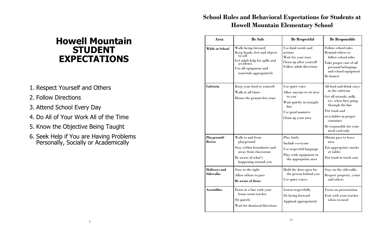## **Howell Mountain STUDENT EXPECTATIONS**

- 1. Respect Yourself and Others
- 2. Follow Directions
- 3. Attend School Every Day
- 4. Do All of Your Work All of the Time
- 5. Know the Objective Being Taught
- 6. Seek Help if You are Having Problems Personally, Socially or Academically

### **School Rules and Behavioral Expectations for Students at Howell Mountain Elementary School**

| Area                                    | <b>Be Safe</b>                                                                                                                                                    | <b>Be Respectful</b>                                                                                                                | <b>Be Responsible</b>                                                                                                                                                                                                    |
|-----------------------------------------|-------------------------------------------------------------------------------------------------------------------------------------------------------------------|-------------------------------------------------------------------------------------------------------------------------------------|--------------------------------------------------------------------------------------------------------------------------------------------------------------------------------------------------------------------------|
| While at School                         | Walk facing forward<br>Keep hands, feet and objects<br>to self<br>Get adult help for spills and<br>accidents.<br>Use all equipment and<br>materials appropriately | Use kind words and<br>actions<br>Wait for your turn<br>Clean up after yourself<br>Follow adult directions                           | Follow school rules<br>Remind others to<br>follow school rules<br>Take proper care of all<br>personal belongings<br>and school equipment<br>Be honest                                                                    |
| Cafeteria                               | Keep your food to yourself<br>Walk at all times<br>Honor the peanut-free zone                                                                                     | Use quiet voice<br>Allow anyone to sit next<br>to you<br>Wait quietly in straight<br>line<br>Use good manners<br>Clean up your area | All food and drink stays<br>in the cafeteria<br>Get all utensils, milk,<br>etc. when first going<br>through the line<br>Put trash and<br>recyclables in proper<br>container<br>Be responsible for your<br>meal card only |
| Playground/<br><b>Recess</b>            | Walk to and from<br>playground<br>Stay within boundaries and<br>away from classrooms<br>Be aware of what's<br>happening around you                                | Play fairly<br>Include everyone<br>Use respectful language<br>Play with equipment in<br>the appropriate area                        | Obtain pass to leave<br>area<br>Eat appropriate snacks<br>at tables<br>Put trash in trash cans                                                                                                                           |
| <b>Hallways</b> and<br><b>Sidewalks</b> | Stay to the right<br>Allow others to pass<br><b>Be aware of doors</b>                                                                                             | Hold the door open for<br>the person behind you<br>Use quiet voices                                                                 | Stay on the sidewalks<br>Respect property, yours<br>and others                                                                                                                                                           |
| <b>Assemblies</b>                       | Enter in a line with your<br>home room teacher<br>Sit quietly<br>Wait for dismissal directions                                                                    | Listen respectfully<br>Sit facing forward<br>Applaud appropriately                                                                  | Focus on presentation<br>Exit with your teacher<br>when excused                                                                                                                                                          |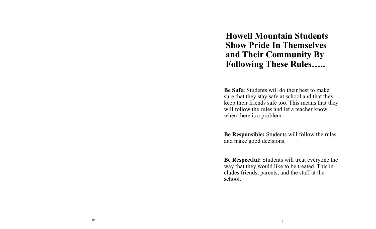**Howell Mountain Students Show Pride In Themselves and Their Community By Following These Rules…..**

**Be Safe:** Students will do their best to make sure that they stay safe at school and that they keep their friends safe too. This means that they will follow the rules and let a teacher know when there is a problem.

**Be Responsible:** Students will follow the rules and make good decisions.

**Be Respectful:** Students will treat everyone the way that they would like to be treated. This includes friends, parents, and the staff at the school.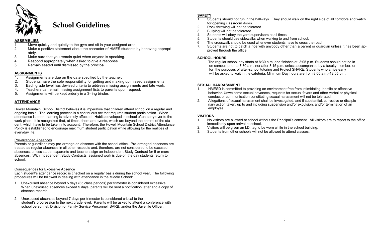

## **School Guidelines**

#### **ASSEMBLIES**

- Move quickly and quietly to the gym and sit in your assigned area.
- 2. Make a positive statement about the character of HMES students by behaving appropriately.
- 3. Make sure that you remain quiet when anyone is speaking.
- 4. Respond appropriately when asked to give a response.
- 5. Remain seated until dismissed by the principal.

#### **ASSIGNMENTS**

- 1. Assignments are due on the date specified by the teacher.<br>2. Students have the sole responsibility for getting and making
- 2. Students have the sole responsibility for getting and making up missed assignments.
- 3. Each grade level has devised criteria to address missing assignments and late work.
- 4. Teachers can email missing assignment lists to parents upon request.
- 5. Assignments will be kept orderly in a 3-ring binder.

#### **ATTENDANCE**

Howell Mountain School District believes it is imperative that children attend school on a regular and ongoing basis. The learning process is a continuous act that requires student participation. When attendance is poor, learning is adversely affected. Habits developed in school often carry over to the work place. It is recognized that, at times, there are events, which are beyond the control of the student, which have to be taken into account. Therefore, the Howell Mountain School District Attendance Policy is established to encourage maximum student participation while allowing for the realities of everyday life.

#### Pre-arranged Absences

Parents or guardians may pre-arrange an absence with the school office. Pre-arranged absences are treated as regular absences in all other respects and, therefore, are not considered to be excused absences, unless students/parents and teachers sign an Independent Study Contract for 5 or more absences. With Independent Study Contracts, assigned work is due on the day students return to school.

#### Consequences for Excessive Absence

Each student's attendance record is checked on a regular basis during the school year. The following procedures will be followed in dealing with attendance in the Middle School:

- 1. Unexcused absence beyond 5 days (35 class periods) per trimester is considered excessive. When unexcused absences exceed 5 days, parents will be sent a notification letter and a copy of absence records.
- 2. Unexcused absences beyond 7 days per trimester is considered critical to the student's progression to the next grade level. Parents will be asked to attend a conference with school personnel, Division of Family Service Personnel, SARB, and/or the Juvenile Officer.

#### **SAFETY**

- 1. Students should not run in the hallways. They should walk on the right side of all corridors and watch for opening classroom doors.
- 2. Rock throwing will not be tolerated.
- 3. Bullying will not be tolerated.
- 4. Students will obey the yard supervisors at all times.
- 5. Students should use sidewalks when walking to and from school.
- 6 The crosswalk should be used whenever students have to cross the road.
- 7. Students are not to catch a ride with anybody other than a parent or guardian unless it has been approved through the office.

#### **SCHOOL HOURS**

The regular school day starts at 8:30 a.m. and finishes at 3:05 p.m. Students should not be in on campus prior to 7:30 a.m. nor after 3:15 p.m. unless accompanied by a faculty member, or for the purposes of after-school tutoring and Project SHARE. Students who arrive early will be asked to wait in the cafeteria. Minimum Day hours are from 8:00 a.m.-12:05 p.m.

#### **SEXUAL HARRASSMENT**

- 1. HMESD is committed to providing an environment free from intimidating, hostile or offensive behavior. Unwelcome sexual advances, requests for sexual favors and other verbal or physical conduct or communication constituting sexual harassment will not be tolerated.<br>2. Allegations of sexual harassment shall be investigated, and if substantial, corre
- 2. Allegations of sexual harassment shall be investigated, and if substantial, corrective or disciple nary action taken, up to and including suspension and/or expulsion, and/or termination of an employee.

#### **VISITORS**

- 1. No visitors are allowed at school without the Principal's consent. All visitors are to report to the office immediately upon arrival at school.
- 2. Visitors will be given an I.D. tag to be worn while in the school building.
- 3. Students from other schools will not be allowed to attend classes.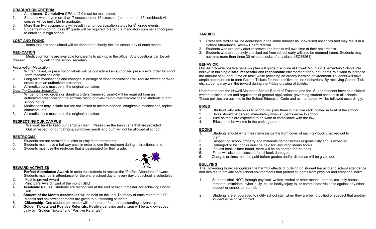#### **GRADUATION CRITERIA**

- 1. A minimum, **Cumulative** GPA of 2.0 must be maintained.
- 2. Students who have more than 7 unexcused or 15 excused (no more than 15 combined) Absences will be ineligible to graduate.
- 3. More than two suspensions will result in a non-participation status for  $8<sup>th</sup>$  grade events.
- 4. Students who do not pass  $8<sup>th</sup>$  grade will be required to attend a mandatory summer school prior to enrolling in high school.

#### **LOST AND FOUND**

Items that are not claimed will be donated to charity the last school day of each month.

#### **MEDICATION**

Medication forms are available for parents to pick up in the office. Any questions can be addressed by calling the school secretary.

#### *Prescription Medication*

- 1. Written, faxed, or prescription labels will be considered an authorized prescriber's order for short -term medications only.
- 2. Long-term medications and changes in dosage of those medications will require written or faxed orders from an authorized prescriber.
- 3. All medications must be in the original container.

#### *Over-the-Counter Medication*

- 1. Written or faxed orders or standing orders (renewed yearly) will be required from an authorized prescriber for the administration of over-the-counter medications to students during school hours.
- 2. Medications may include but are not limited to acetaminophen, cough/cold medications, topical ointments, etc.
- 3. All medications must be in the original container.

#### **RESPECTING OUR CAMPUS**

We work hard to keep our campus clean. Please use the trash cans that are provided. Out of respect for our campus, sunflower seeds and gum will not be allowed at school.

#### **RESTROOMS**

- 1. Students are not permitted to loiter or play in the restrooms.
- 2. Students must have a hallway pass in order to use the restroom during instructional time.
- 3. Students must use the restroom that is designated for their grade.



#### **REWARD ACTIVITIES**

- 1. **Perfect Attendance Award:** In order for students to receive the "Perfect Attendance" award, Students must be in attendance for the entire school day on every day that school is scheduled.
- 2. Most Improved Award
- 3. Principal's Award: End of the month BBQ
- 4. **Academic Rallies:** Students are recognized at the end of each trimester for achieving Honor Roll.
- 5. **Student of the Month Assemblies** will be held on the last Thursday of each month at 2:00. Medals and acknowledgements are given to outstanding students.
- 6. **Citizenship:** One student per month will be honored for their outstanding citizenship.
- 7. **Golden Tickets and Positive Referrals:** Positive behavior and citizen will be acknowledged daily by "Golden Tickets" and "Positive Referrals"

#### **TARDIES**

- 1. Excessive tardies will be addressed in the same manner as unexcused absences and may result in a School Attendance Review Board referral.
- 2. Students who are tardy after recesses and breaks will owe time at their next recess.
- 3. Students who are routinely checked out from school early will also be deemed truant. Students may not miss more than three 30 minute blocks of any class. (EC48261)

#### **BEHAVIOR**

Our district-wide positive behavior plan will guide discipline at Howell Mountain Elementary School. We believe in building a **safe, respectful** and **responsible** environment for our students. We want to increase the amount of student "time on task" while providing an orderly learning environment. Students will have ample opportunities to earn Golden Tickets for their positive, on-task behaviors. By receiving Golden Tickets, students may win the reward during the Friday drawing of tickets.

Understand that the Howell Mountain School Board of Trustees and the Superintendent have established written policies, rules and regulations of general application, governing student conduct in all schools. These policies are outlined in the School Education Code and as mandated, will be followed accordingly.

#### **BIKES**

- 1. Students who ride bikes to school will park them in the bike rack located in front of the school.
- 2. Bikes should be parked immediately when students arrive to school.
- 3. Bike helmets are expected to be worn in compliance with the law.
- 4. Bikes must be walked in the parking areas.

#### **BOOKS**

- 1. Students should write their name inside the front cover of each textbook checked out to them.
- 2. Respecting school property and materials demonstrates responsibility and is expected.
- 3. Damaged or lost books must be paid for, including library books.<br>4. If a lost book is later found, there will be no charge for the book.
- 4. If a lost book is later found, there will be no charge for the book.<br>5. Fines will also be assessed for all book damages.
- Fines will also be assessed for all book damages.
- 6. Charges or fines must be paid before grades and/or diplomas will be given out.

#### **BULLYING**

The Governing Board recognizes the harmful effects of bullying on student learning and school attendance and desires to provide safe school environments that protect students from physical and emotional harm.

- 1. Students shall NOT, through physical, written, verbal or other means, harass, sexually harass, threaten, intimidate, cyber-bully, cause bodily injury to, or commit hate violence against any other student or school personnel.
- 2. Students are encouraged to notify school staff when they are being bullied or suspect that another student is being victimized.